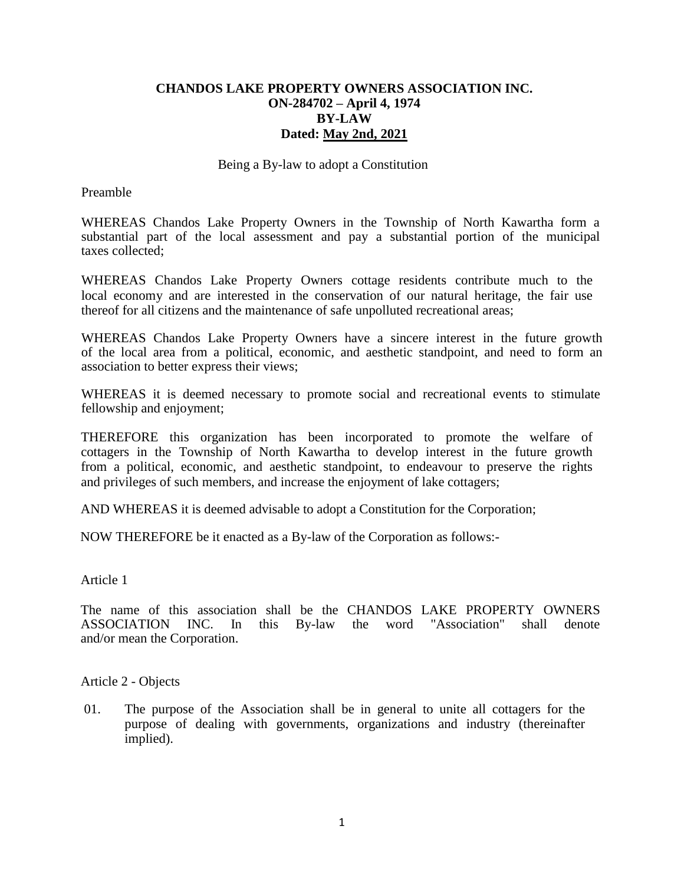# **CHANDOS LAKE PROPERTY OWNERS ASSOCIATION INC. ON-284702 – April 4, 1974 BY-LAW Dated: May 2nd, 2021**

Being a By-law to adopt a Constitution

Preamble

WHEREAS Chandos Lake Property Owners in the Township of North Kawartha form a substantial part of the local assessment and pay a substantial portion of the municipal taxes collected;

WHEREAS Chandos Lake Property Owners cottage residents contribute much to the local economy and are interested in the conservation of our natural heritage, the fair use thereof for all citizens and the maintenance of safe unpolluted recreational areas;

WHEREAS Chandos Lake Property Owners have a sincere interest in the future growth of the local area from a political, economic, and aesthetic standpoint, and need to form an association to better express their views;

WHEREAS it is deemed necessary to promote social and recreational events to stimulate fellowship and enjoyment;

THEREFORE this organization has been incorporated to promote the welfare of cottagers in the Township of North Kawartha to develop interest in the future growth from a political, economic, and aesthetic standpoint, to endeavour to preserve the rights and privileges of such members, and increase the enjoyment of lake cottagers;

AND WHEREAS it is deemed advisable to adopt a Constitution for the Corporation;

NOW THEREFORE be it enacted as a By-law of the Corporation as follows:-

Article 1

The name of this association shall be the CHANDOS LAKE PROPERTY OWNERS ASSOCIATION INC. In this By-law the word "Association" shall denote and/or mean the Corporation.

Article 2 - Objects

01. The purpose of the Association shall be in general to unite all cottagers for the purpose of dealing with governments, organizations and industry (thereinafter implied).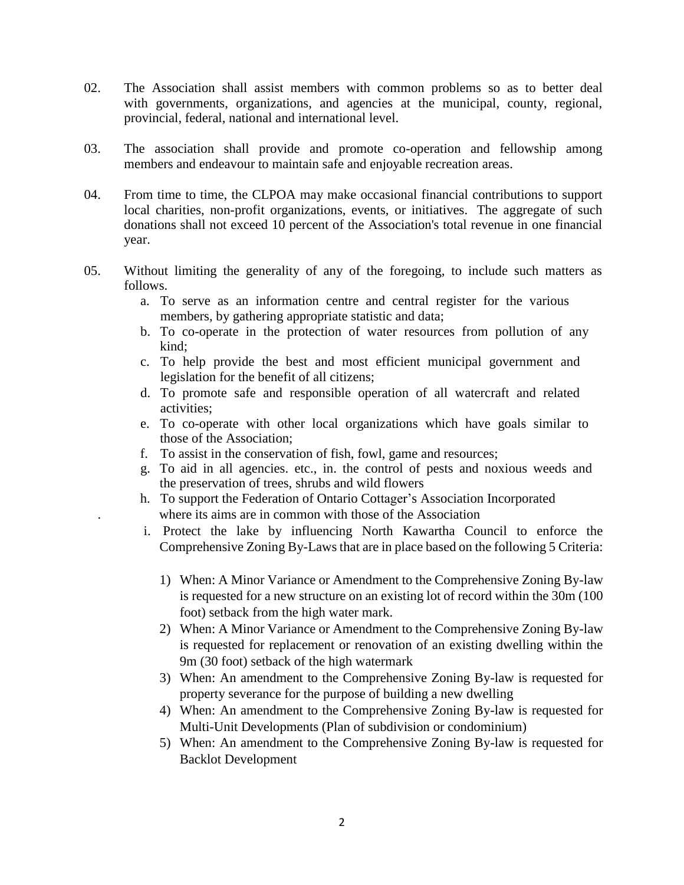- 02. The Association shall assist members with common problems so as to better deal with governments, organizations, and agencies at the municipal, county, regional, provincial, federal, national and international level.
- 03. The association shall provide and promote co-operation and fellowship among members and endeavour to maintain safe and enjoyable recreation areas.
- 04. From time to time, the CLPOA may make occasional financial contributions to support local charities, non-profit organizations, events, or initiatives. The aggregate of such donations shall not exceed 10 percent of the Association's total revenue in one financial year.
- 05. Without limiting the generality of any of the foregoing, to include such matters as follows.
	- a. To serve as an information centre and central register for the various members, by gathering appropriate statistic and data;
	- b. To co-operate in the protection of water resources from pollution of any kind;
	- c. To help provide the best and most efficient municipal government and legislation for the benefit of all citizens;
	- d. To promote safe and responsible operation of all watercraft and related activities;
	- e. To co-operate with other local organizations which have goals similar to those of the Association;
	- f. To assist in the conservation of fish, fowl, game and resources;
	- g. To aid in all agencies. etc., in. the control of pests and noxious weeds and the preservation of trees, shrubs and wild flowers
	- h. To support the Federation of Ontario Cottager's Association Incorporated where its aims are in common with those of the Association
	- i. Protect the lake by influencing North Kawartha Council to enforce the Comprehensive Zoning By-Laws that are in place based on the following 5 Criteria:
		- 1) When: A Minor Variance or Amendment to the Comprehensive Zoning By-law is requested for a new structure on an existing lot of record within the 30m (100 foot) setback from the high water mark.
		- 2) When: A Minor Variance or Amendment to the Comprehensive Zoning By-law is requested for replacement or renovation of an existing dwelling within the 9m (30 foot) setback of the high watermark
		- 3) When: An amendment to the Comprehensive Zoning By-law is requested for property severance for the purpose of building a new dwelling
		- 4) When: An amendment to the Comprehensive Zoning By-law is requested for Multi-Unit Developments (Plan of subdivision or condominium)
		- 5) When: An amendment to the Comprehensive Zoning By-law is requested for Backlot Development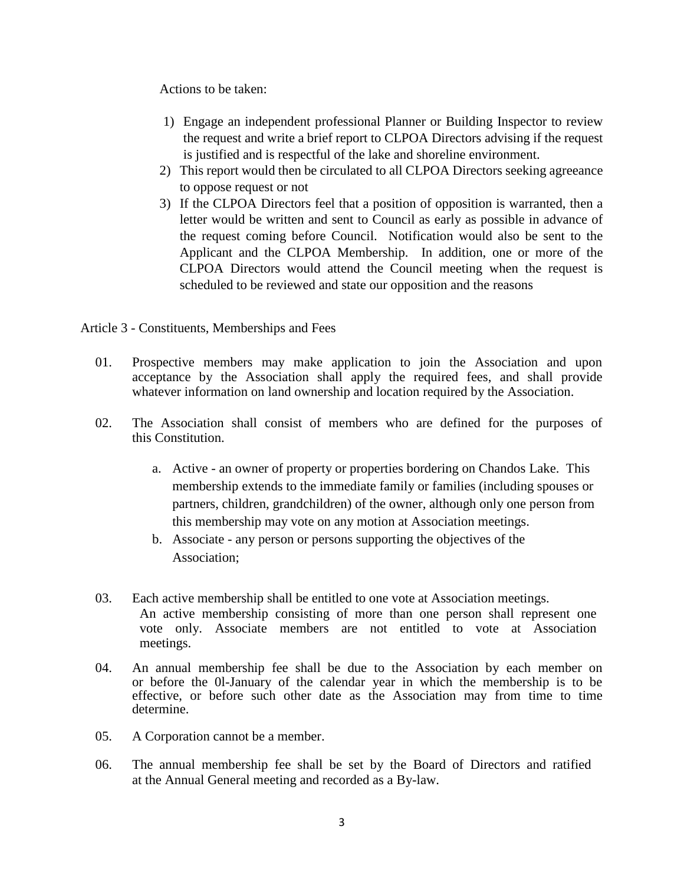Actions to be taken:

- 1) Engage an independent professional Planner or Building Inspector to review the request and write a brief report to CLPOA Directors advising if the request is justified and is respectful of the lake and shoreline environment.
- 2) This report would then be circulated to all CLPOA Directors seeking agreeance to oppose request or not
- 3) If the CLPOA Directors feel that a position of opposition is warranted, then a letter would be written and sent to Council as early as possible in advance of the request coming before Council. Notification would also be sent to the Applicant and the CLPOA Membership. In addition, one or more of the CLPOA Directors would attend the Council meeting when the request is scheduled to be reviewed and state our opposition and the reasons

Article 3 - Constituents, Memberships and Fees

- 01. Prospective members may make application to join the Association and upon acceptance by the Association shall apply the required fees, and shall provide whatever information on land ownership and location required by the Association.
- 02. The Association shall consist of members who are defined for the purposes of this Constitution.
	- a. Active an owner of property or properties bordering on Chandos Lake. This membership extends to the immediate family or families (including spouses or partners, children, grandchildren) of the owner, although only one person from this membership may vote on any motion at Association meetings.
	- b. Associate any person or persons supporting the objectives of the Association;
- 03. Each active membership shall be entitled to one vote at Association meetings. An active membership consisting of more than one person shall represent one vote only. Associate members are not entitled to vote at Association meetings.
- 04. An annual membership fee shall be due to the Association by each member on or before the 0l-January of the calendar year in which the membership is to be effective, or before such other date as the Association may from time to time determine.
- 05. A Corporation cannot be a member.
- 06. The annual membership fee shall be set by the Board of Directors and ratified at the Annual General meeting and recorded as a By-law.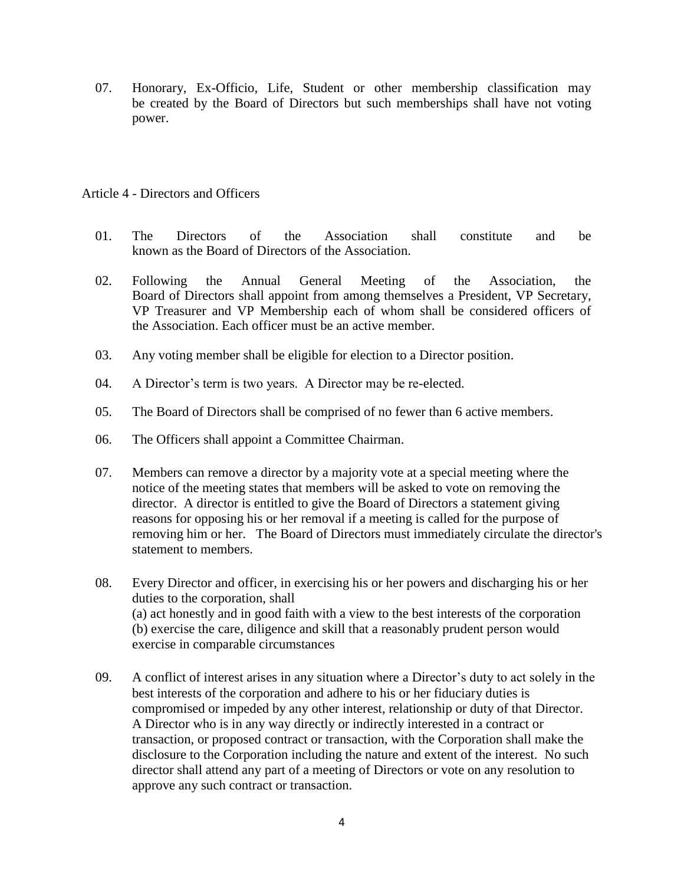07. Honorary, Ex-Officio, Life, Student or other membership classification may be created by the Board of Directors but such memberships shall have not voting power.

## Article 4 - Directors and Officers

- 01. The Directors of the Association shall constitute and be known as the Board of Directors of the Association.
- 02. Following the Annual General Meeting of the Association, the Board of Directors shall appoint from among themselves a President, VP Secretary, VP Treasurer and VP Membership each of whom shall be considered officers of the Association. Each officer must be an active member.
- 03. Any voting member shall be eligible for election to a Director position.
- 04. A Director's term is two years. A Director may be re-elected.
- 05. The Board of Directors shall be comprised of no fewer than 6 active members.
- 06. The Officers shall appoint a Committee Chairman.
- 07. Members can remove a director by a majority vote at a special meeting where the notice of the meeting states that members will be asked to vote on removing the director. A director is entitled to give the Board of Directors a statement giving reasons for opposing his or her removal if a meeting is called for the purpose of removing him or her. The Board of Directors must immediately circulate the director's statement to members.
- 08. Every Director and officer, in exercising his or her powers and discharging his or her duties to the corporation, shall (a) act honestly and in good faith with a view to the best interests of the corporation (b) exercise the care, diligence and skill that a reasonably prudent person would exercise in comparable circumstances
- 09. A conflict of interest arises in any situation where a Director's duty to act solely in the best interests of the corporation and adhere to his or her fiduciary duties is compromised or impeded by any other interest, relationship or duty of that Director. A Director who is in any way directly or indirectly interested in a contract or transaction, or proposed contract or transaction, with the Corporation shall make the disclosure to the Corporation including the nature and extent of the interest. No such director shall attend any part of a meeting of Directors or vote on any resolution to approve any such contract or transaction.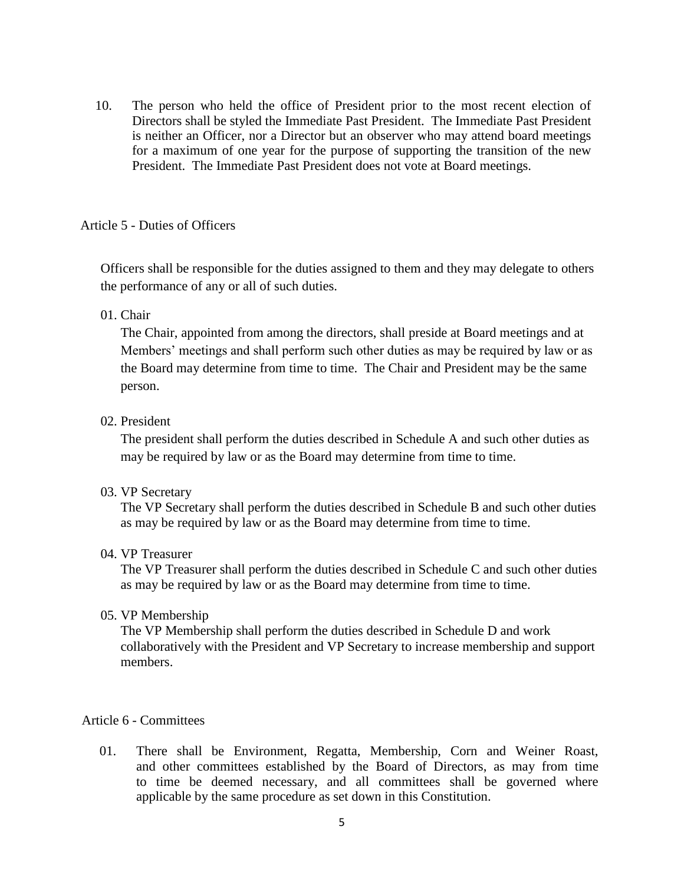10. The person who held the office of President prior to the most recent election of Directors shall be styled the Immediate Past President. The Immediate Past President is neither an Officer, nor a Director but an observer who may attend board meetings for a maximum of one year for the purpose of supporting the transition of the new President. The Immediate Past President does not vote at Board meetings.

## Article 5 - Duties of Officers

Officers shall be responsible for the duties assigned to them and they may delegate to others the performance of any or all of such duties.

# 01. Chair

The Chair, appointed from among the directors, shall preside at Board meetings and at Members' meetings and shall perform such other duties as may be required by law or as the Board may determine from time to time. The Chair and President may be the same person.

## 02. President

The president shall perform the duties described in Schedule A and such other duties as may be required by law or as the Board may determine from time to time.

#### 03. VP Secretary

The VP Secretary shall perform the duties described in Schedule B and such other duties as may be required by law or as the Board may determine from time to time.

### 04. VP Treasurer

The VP Treasurer shall perform the duties described in Schedule C and such other duties as may be required by law or as the Board may determine from time to time.

#### 05. VP Membership

The VP Membership shall perform the duties described in Schedule D and work collaboratively with the President and VP Secretary to increase membership and support members.

# Article 6 - Committees

01. There shall be Environment, Regatta, Membership, Corn and Weiner Roast, and other committees established by the Board of Directors, as may from time to time be deemed necessary, and all committees shall be governed where applicable by the same procedure as set down in this Constitution.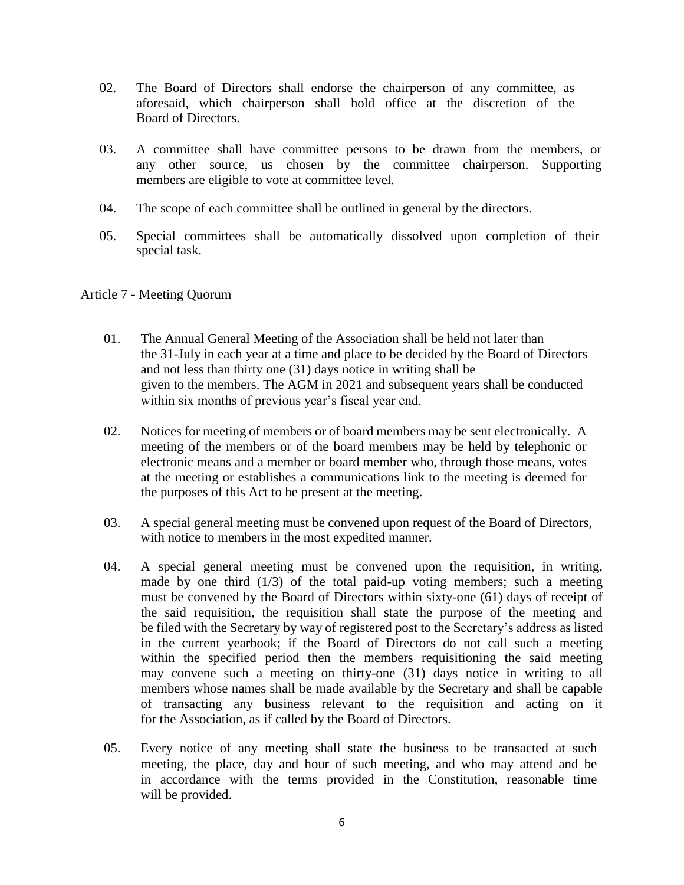- 02. The Board of Directors shall endorse the chairperson of any committee, as aforesaid, which chairperson shall hold office at the discretion of the Board of Directors.
- 03. A committee shall have committee persons to be drawn from the members, or any other source, us chosen by the committee chairperson. Supporting members are eligible to vote at committee level.
- 04. The scope of each committee shall be outlined in general by the directors.
- 05. Special committees shall be automatically dissolved upon completion of their special task.

#### Article 7 - Meeting Quorum

- 01. The Annual General Meeting of the Association shall be held not later than the 31-July in each year at a time and place to be decided by the Board of Directors and not less than thirty one (31) days notice in writing shall be given to the members. The AGM in 2021 and subsequent years shall be conducted within six months of previous year's fiscal year end.
- 02. Notices for meeting of members or of board members may be sent electronically. A meeting of the members or of the board members may be held by telephonic or electronic means and a member or board member who, through those means, votes at the meeting or establishes a communications link to the meeting is deemed for the purposes of this Act to be present at the meeting.
- 03. A special general meeting must be convened upon request of the Board of Directors, with notice to members in the most expedited manner.
- 04. A special general meeting must be convened upon the requisition, in writing, made by one third  $(1/3)$  of the total paid-up voting members; such a meeting must be convened by the Board of Directors within sixty-one (61) days of receipt of the said requisition, the requisition shall state the purpose of the meeting and be filed with the Secretary by way of registered post to the Secretary's address as listed in the current yearbook; if the Board of Directors do not call such a meeting within the specified period then the members requisitioning the said meeting may convene such a meeting on thirty-one (31) days notice in writing to all members whose names shall be made available by the Secretary and shall be capable of transacting any business relevant to the requisition and acting on it for the Association, as if called by the Board of Directors.
- 05. Every notice of any meeting shall state the business to be transacted at such meeting, the place, day and hour of such meeting, and who may attend and be in accordance with the terms provided in the Constitution, reasonable time will be provided.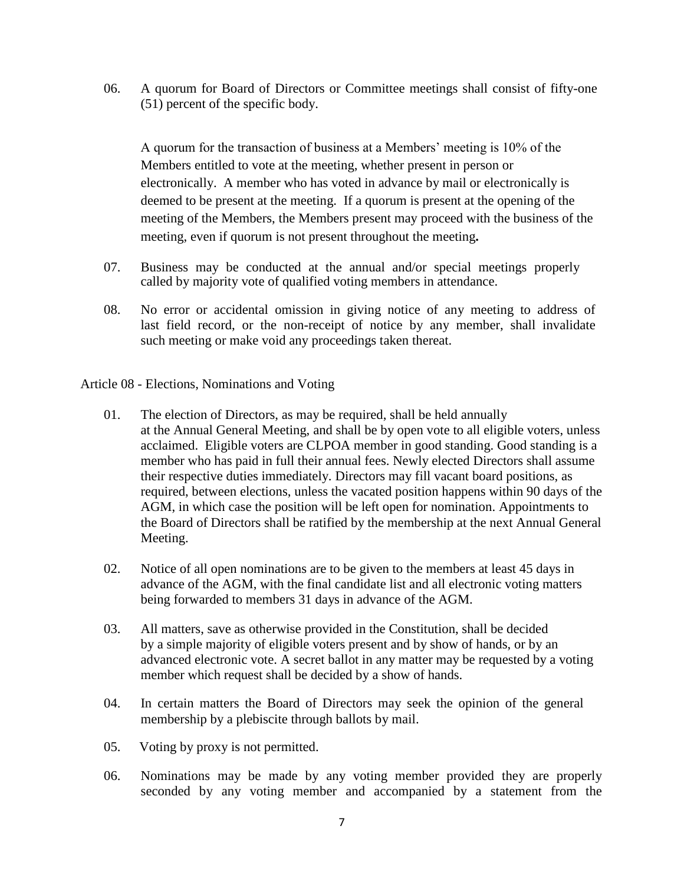06. A quorum for Board of Directors or Committee meetings shall consist of fifty-one (51) percent of the specific body.

A quorum for the transaction of business at a Members' meeting is 10% of the Members entitled to vote at the meeting, whether present in person or electronically. A member who has voted in advance by mail or electronically is deemed to be present at the meeting. If a quorum is present at the opening of the meeting of the Members, the Members present may proceed with the business of the meeting, even if quorum is not present throughout the meeting**.**

- 07. Business may be conducted at the annual and/or special meetings properly called by majority vote of qualified voting members in attendance.
- 08. No error or accidental omission in giving notice of any meeting to address of last field record, or the non-receipt of notice by any member, shall invalidate such meeting or make void any proceedings taken thereat.

Article 08 - Elections, Nominations and Voting

- 01. The election of Directors, as may be required, shall be held annually at the Annual General Meeting, and shall be by open vote to all eligible voters, unless acclaimed. Eligible voters are CLPOA member in good standing. Good standing is a member who has paid in full their annual fees. Newly elected Directors shall assume their respective duties immediately. Directors may fill vacant board positions, as required, between elections, unless the vacated position happens within 90 days of the AGM, in which case the position will be left open for nomination. Appointments to the Board of Directors shall be ratified by the membership at the next Annual General Meeting.
- 02. Notice of all open nominations are to be given to the members at least 45 days in advance of the AGM, with the final candidate list and all electronic voting matters being forwarded to members 31 days in advance of the AGM.
- 03. All matters, save as otherwise provided in the Constitution, shall be decided by a simple majority of eligible voters present and by show of hands, or by an advanced electronic vote. A secret ballot in any matter may be requested by a voting member which request shall be decided by a show of hands.
- 04. In certain matters the Board of Directors may seek the opinion of the general membership by a plebiscite through ballots by mail.
- 05. Voting by proxy is not permitted.
- 06. Nominations may be made by any voting member provided they are properly seconded by any voting member and accompanied by a statement from the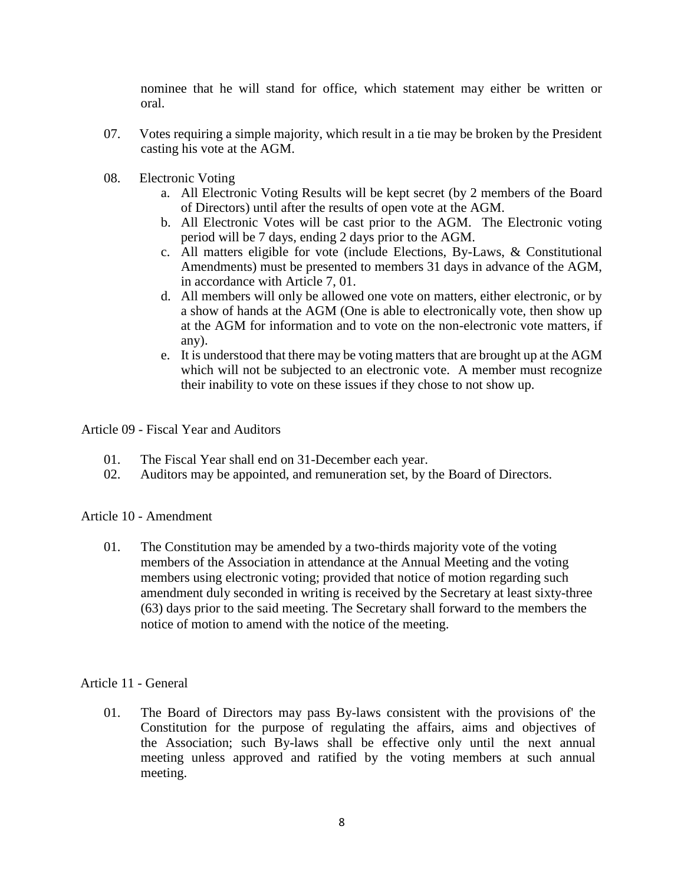nominee that he will stand for office, which statement may either be written or oral.

- 07. Votes requiring a simple majority, which result in a tie may be broken by the President casting his vote at the AGM.
- 08. Electronic Voting
	- a. All Electronic Voting Results will be kept secret (by 2 members of the Board of Directors) until after the results of open vote at the AGM.
	- b. All Electronic Votes will be cast prior to the AGM. The Electronic voting period will be 7 days, ending 2 days prior to the AGM.
	- c. All matters eligible for vote (include Elections, By-Laws, & Constitutional Amendments) must be presented to members 31 days in advance of the AGM, in accordance with Article 7, 01.
	- d. All members will only be allowed one vote on matters, either electronic, or by a show of hands at the AGM (One is able to electronically vote, then show up at the AGM for information and to vote on the non-electronic vote matters, if any).
	- e. It is understood that there may be voting matters that are brought up at the AGM which will not be subjected to an electronic vote. A member must recognize their inability to vote on these issues if they chose to not show up.

Article 09 - Fiscal Year and Auditors

- 01. The Fiscal Year shall end on 31-December each year.<br>02. Auditors may be appointed, and remuneration set, by t
- Auditors may be appointed, and remuneration set, by the Board of Directors.

Article 10 - Amendment

01. The Constitution may be amended by a two-thirds majority vote of the voting members of the Association in attendance at the Annual Meeting and the voting members using electronic voting; provided that notice of motion regarding such amendment duly seconded in writing is received by the Secretary at least sixty-three (63) days prior to the said meeting. The Secretary shall forward to the members the notice of motion to amend with the notice of the meeting.

# Article 11 - General

01. The Board of Directors may pass By-laws consistent with the provisions of' the Constitution for the purpose of regulating the affairs, aims and objectives of the Association; such By-laws shall be effective only until the next annual meeting unless approved and ratified by the voting members at such annual meeting.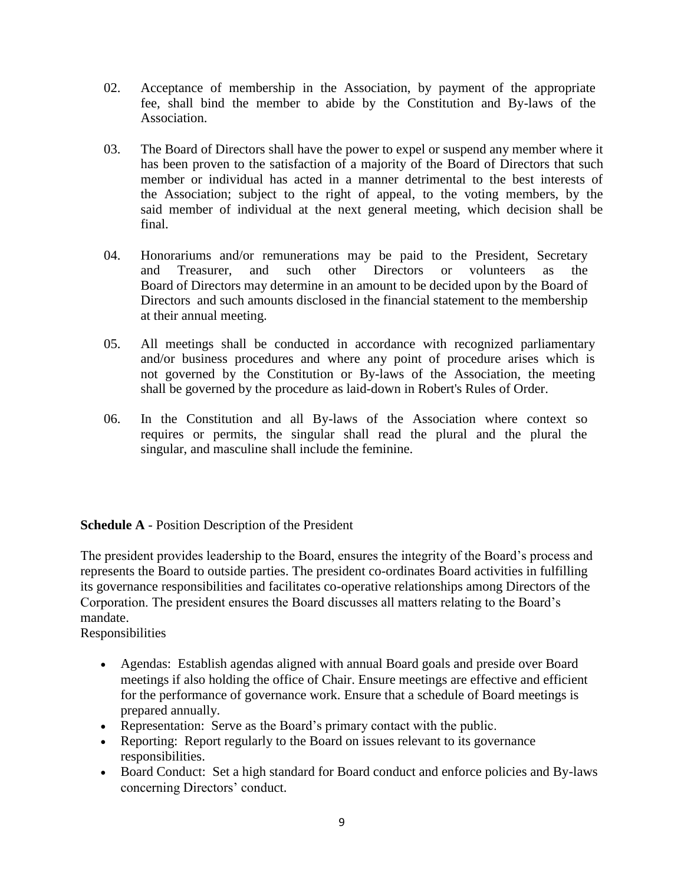- 02. Acceptance of membership in the Association, by payment of the appropriate fee, shall bind the member to abide by the Constitution and By-laws of the Association.
- 03. The Board of Directors shall have the power to expel or suspend any member where it has been proven to the satisfaction of a majority of the Board of Directors that such member or individual has acted in a manner detrimental to the best interests of the Association; subject to the right of appeal, to the voting members, by the said member of individual at the next general meeting, which decision shall be final.
- 04. Honorariums and/or remunerations may be paid to the President, Secretary and Treasurer, and such other Directors or volunteers as the Board of Directors may determine in an amount to be decided upon by the Board of Directors and such amounts disclosed in the financial statement to the membership at their annual meeting.
- 05. All meetings shall be conducted in accordance with recognized parliamentary and/or business procedures and where any point of procedure arises which is not governed by the Constitution or By-laws of the Association, the meeting shall be governed by the procedure as laid-down in Robert's Rules of Order.
- 06. In the Constitution and all By-laws of the Association where context so requires or permits, the singular shall read the plural and the plural the singular, and masculine shall include the feminine.

# **Schedule A** - Position Description of the President

The president provides leadership to the Board, ensures the integrity of the Board's process and represents the Board to outside parties. The president co-ordinates Board activities in fulfilling its governance responsibilities and facilitates co-operative relationships among Directors of the Corporation. The president ensures the Board discusses all matters relating to the Board's mandate.

Responsibilities

- Agendas: Establish agendas aligned with annual Board goals and preside over Board meetings if also holding the office of Chair. Ensure meetings are effective and efficient for the performance of governance work. Ensure that a schedule of Board meetings is prepared annually.
- Representation: Serve as the Board's primary contact with the public.
- Reporting: Report regularly to the Board on issues relevant to its governance responsibilities.
- Board Conduct: Set a high standard for Board conduct and enforce policies and By-laws concerning Directors' conduct.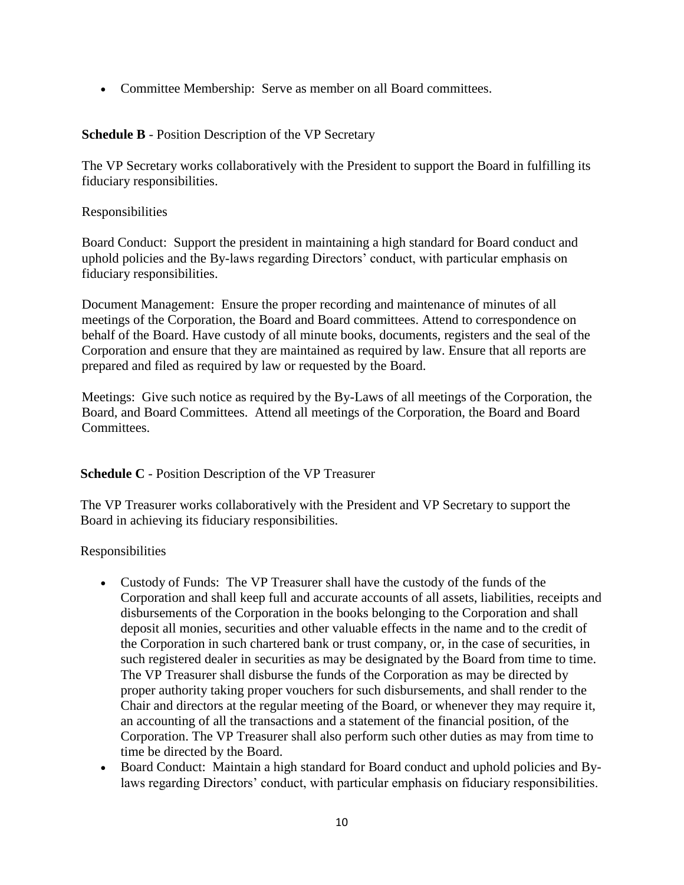Committee Membership: Serve as member on all Board committees.

**Schedule B** - Position Description of the VP Secretary

The VP Secretary works collaboratively with the President to support the Board in fulfilling its fiduciary responsibilities.

Responsibilities

Board Conduct: Support the president in maintaining a high standard for Board conduct and uphold policies and the By-laws regarding Directors' conduct, with particular emphasis on fiduciary responsibilities.

Document Management: Ensure the proper recording and maintenance of minutes of all meetings of the Corporation, the Board and Board committees. Attend to correspondence on behalf of the Board. Have custody of all minute books, documents, registers and the seal of the Corporation and ensure that they are maintained as required by law. Ensure that all reports are prepared and filed as required by law or requested by the Board.

Meetings: Give such notice as required by the By-Laws of all meetings of the Corporation, the Board, and Board Committees. Attend all meetings of the Corporation, the Board and Board Committees.

**Schedule C** - Position Description of the VP Treasurer

The VP Treasurer works collaboratively with the President and VP Secretary to support the Board in achieving its fiduciary responsibilities.

Responsibilities

- Custody of Funds: The VP Treasurer shall have the custody of the funds of the Corporation and shall keep full and accurate accounts of all assets, liabilities, receipts and disbursements of the Corporation in the books belonging to the Corporation and shall deposit all monies, securities and other valuable effects in the name and to the credit of the Corporation in such chartered bank or trust company, or, in the case of securities, in such registered dealer in securities as may be designated by the Board from time to time. The VP Treasurer shall disburse the funds of the Corporation as may be directed by proper authority taking proper vouchers for such disbursements, and shall render to the Chair and directors at the regular meeting of the Board, or whenever they may require it, an accounting of all the transactions and a statement of the financial position, of the Corporation. The VP Treasurer shall also perform such other duties as may from time to time be directed by the Board.
- Board Conduct: Maintain a high standard for Board conduct and uphold policies and Bylaws regarding Directors' conduct, with particular emphasis on fiduciary responsibilities.